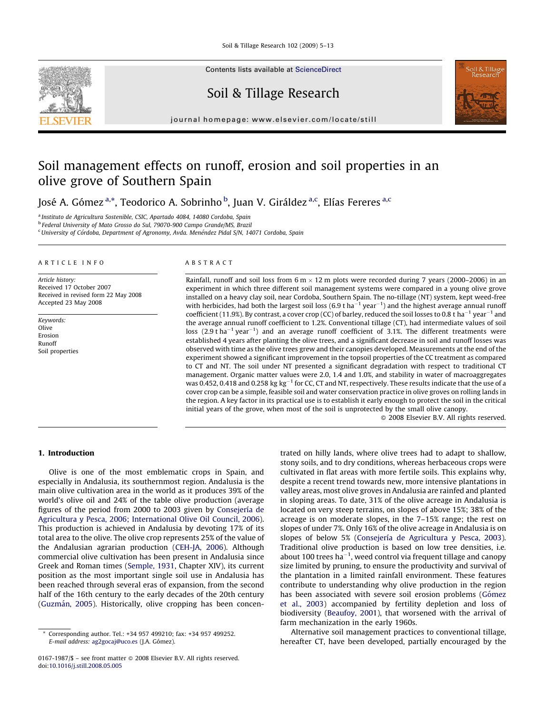Soil & Tillage Research 102 (2009) 5–13



Contents lists available at [ScienceDirect](http://www.sciencedirect.com/science/journal/01671987)

### Soil & Tillage Research



journal homepage: www.elsevier.com/locate/still

## Soil management effects on runoff, erosion and soil properties in an olive grove of Southern Spain

José A. Gómez <sup>a,</sup>\*, Teodorico A. Sobrinho <sup>b</sup>, Juan V. Giráldez <sup>a,c</sup>, Elías Fereres <sup>a,c</sup>

<sup>a</sup> Instituto de Agricultura Sostenible, CSIC, Apartado 4084, 14080 Cordoba, Spain

<sup>b</sup> Federal University of Mato Grosso do Sul, 79070-900 Campo Grande/MS, Brazil

<sup>c</sup> University of Córdoba, Department of Agronomy, Avda. Menéndez Pidal S/N, 14071 Cordoba, Spain

#### ARTICLE INFO

Article history: Received 17 October 2007 Received in revised form 22 May 2008 Accepted 23 May 2008

Keywords: Olive Erosion Runoff Soil properties

#### ABSTRACT

Rainfall, runoff and soil loss from  $6 \text{ m} \times 12 \text{ m}$  plots were recorded during 7 years (2000–2006) in an experiment in which three different soil management systems were compared in a young olive grove installed on a heavy clay soil, near Cordoba, Southern Spain. The no-tillage (NT) system, kept weed-free with herbicides, had both the largest soil loss (6.9 t ha<sup>-1</sup> year<sup>-1</sup>) and the highest average annual runoff coefficient (11.9%). By contrast, a cover crop (CC) of barley, reduced the soil losses to 0.8 t ha<sup>-1</sup> year<sup>-1</sup> and the average annual runoff coefficient to 1.2%. Conventional tillage (CT), had intermediate values of soil loss (2.9 t ha<sup>-1</sup> year<sup>-1</sup>) and an average runoff coefficient of 3.1%. The different treatments were established 4 years after planting the olive trees, and a significant decrease in soil and runoff losses was observed with time as the olive trees grew and their canopies developed. Measurements at the end of the experiment showed a significant improvement in the topsoil properties of the CC treatment as compared to CT and NT. The soil under NT presented a significant degradation with respect to traditional CT management. Organic matter values were 2.0, 1.4 and 1.0%, and stability in water of macroaggregates was 0.452, 0.418 and 0.258 kg  $\rm kg^{-1}$  for CC, CT and NT, respectively. These results indicate that the use of a cover crop can be a simple, feasible soil and water conservation practice in olive groves on rolling lands in the region. A key factor in its practical use is to establish it early enough to protect the soil in the critical initial years of the grove, when most of the soil is unprotected by the small olive canopy.

 $\odot$  2008 Elsevier B.V. All rights reserved.

#### 1. Introduction

Olive is one of the most emblematic crops in Spain, and especially in Andalusia, its southernmost region. Andalusia is the main olive cultivation area in the world as it produces 39% of the world's olive oil and 24% of the table olive production (average figures of the period from 2000 to 2003 given by Consejería de [Agricultura y Pesca, 2006; International Olive Oil Council, 2006\)](#page--1-0). This production is achieved in Andalusia by devoting 17% of its total area to the olive. The olive crop represents 25% of the value of the Andalusian agrarian production ([CEH-JA, 2006](#page--1-0)). Although commercial olive cultivation has been present in Andalusia since Greek and Roman times ([Semple, 1931](#page--1-0), Chapter XIV), its current position as the most important single soil use in Andalusia has been reached through several eras of expansion, from the second half of the 16th century to the early decades of the 20th century (Guzmán, 2005). Historically, olive cropping has been concentrated on hilly lands, where olive trees had to adapt to shallow, stony soils, and to dry conditions, whereas herbaceous crops were cultivated in flat areas with more fertile soils. This explains why, despite a recent trend towards new, more intensive plantations in valley areas, most olive groves in Andalusia are rainfed and planted in sloping areas. To date, 31% of the olive acreage in Andalusia is located on very steep terrains, on slopes of above 15%; 38% of the acreage is on moderate slopes, in the 7–15% range; the rest on slopes of under 7%. Only 16% of the olive acreage in Andalusia is on slopes of below 5% (Consejería de Agricultura y Pesca, 2003). Traditional olive production is based on low tree densities, i.e. about 100 trees ha $^{-1}$ , weed control via frequent tillage and canopy size limited by pruning, to ensure the productivity and survival of the plantation in a limited rainfall environment. These features contribute to understanding why olive production in the region has been associated with severe soil erosion problems (Gómez [et al., 2003\)](#page--1-0) accompanied by fertility depletion and loss of biodiversity ([Beaufoy, 2001](#page--1-0)), that worsened with the arrival of farm mechanization in the early 1960s.

Alternative soil management practices to conventional tillage, hereafter CT, have been developed, partially encouraged by the

Corresponding author. Tel.: +34 957 499210; fax: +34 957 499252. E-mail address: [ag2gocaj@uco.es](mailto:ag2gocaj@uco.es) (J.A. Gómez).

<sup>0167-1987/\$ –</sup> see front matter © 2008 Elsevier B.V. All rights reserved. doi:[10.1016/j.still.2008.05.005](http://dx.doi.org/10.1016/j.still.2008.05.005)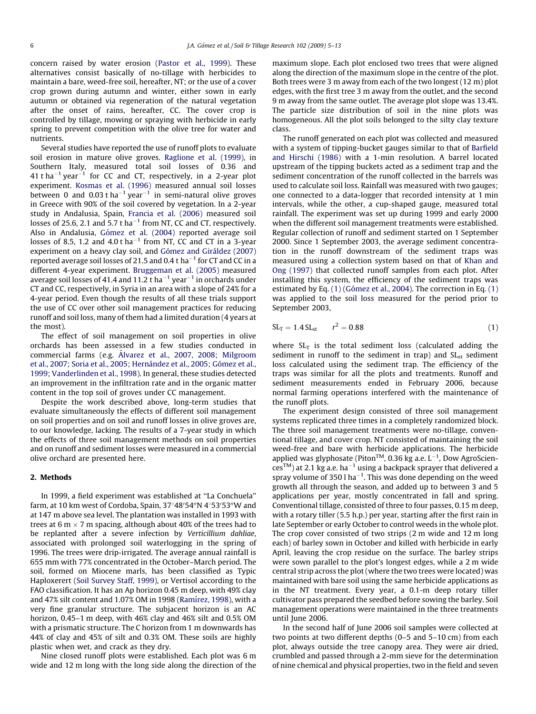concern raised by water erosion ([Pastor et al., 1999\)](#page--1-0). These alternatives consist basically of no-tillage with herbicides to maintain a bare, weed-free soil, hereafter, NT; or the use of a cover crop grown during autumn and winter, either sown in early autumn or obtained via regeneration of the natural vegetation after the onset of rains, hereafter, CC. The cover crop is controlled by tillage, mowing or spraying with herbicide in early spring to prevent competition with the olive tree for water and nutrients.

Several studies have reported the use of runoff plots to evaluate soil erosion in mature olive groves. [Raglione et al. \(1999\),](#page--1-0) in Southern Italy, measured total soil losses of 0.36 and  $41$  t ha<sup> $-1$ </sup> year<sup> $-1$ </sup> for CC and CT, respectively, in a 2-year plot experiment. [Kosmas et al. \(1996\)](#page--1-0) measured annual soil losses between 0 and 0.03 t ha $^{-1}$  year $^{-1}$  in semi-natural olive groves in Greece with 90% of the soil covered by vegetation. In a 2-year study in Andalusia, Spain, [Francia et al. \(2006\)](#page--1-0) measured soil losses of 25.6, 2.1 and 5.7 t ha $^{-1}$  from NT, CC and CT, respectively. Also in Andalusia, Gómez et al. (2004) reported average soil losses of 8.5, 1.2 and 4.0 t ha<sup> $-1$ </sup> from NT, CC and CT in a 3-year experiment on a heavy clay soil, and Gómez and Giráldez (2007) reported average soil losses of 21.5 and 0.4 t ha $^{-1}$  for CT and CC in a different 4-year experiment. [Bruggeman et al. \(2005\)](#page--1-0) measured average soil losses of 41.4 and 11.2 t ha $^{-1}$  year $^{-1}$  in orchards under CT and CC, respectively, in Syria in an area with a slope of 24% for a 4-year period. Even though the results of all these trials support the use of CC over other soil management practices for reducing runoff and soil loss, many of them had a limited duration (4 years at the most).

The effect of soil management on soil properties in olive orchards has been assessed in a few studies conducted in commercial farms (e.g. Á[lvarez et al., 2007, 2008; Milgroom](#page--1-0) et al., 2007; Soria et al., 2005; Hernández et al., 2005; Gómez et al., [1999; Vanderlinden et al., 1998](#page--1-0)). In general, these studies detected an improvement in the infiltration rate and in the organic matter content in the top soil of groves under CC management.

Despite the work described above, long-term studies that evaluate simultaneously the effects of different soil management on soil properties and on soil and runoff losses in olive groves are, to our knowledge, lacking. The results of a 7-year study in which the effects of three soil management methods on soil properties and on runoff and sediment losses were measured in a commercial olive orchard are presented here.

#### 2. Methods

In 1999, a field experiment was established at ''La Conchuela'' farm, at 10 km west of Cordoba, Spain, 37°48′54″N 4°53′53″W and at 147 m above sea level. The plantation was installed in 1993 with trees at 6 m  $\times$  7 m spacing, although about 40% of the trees had to be replanted after a severe infection by Verticillium dahliae, associated with prolonged soil waterlogging in the spring of 1996. The trees were drip-irrigated. The average annual rainfall is 655 mm with 77% concentrated in the October–March period. The soil, formed on Miocene marls, has been classified as Typic Haploxerert [\(Soil Survey Staff, 1999](#page--1-0)), or Vertisol according to the FAO classification. It has an Ap horizon 0.45 m deep, with 49% clay and 47% silt content and 1.07% OM in 1998 (Ramírez, 1998), with a very fine granular structure. The subjacent horizon is an AC horizon, 0.45–1 m deep, with 46% clay and 46% silt and 0.5% OM with a prismatic structure. The C horizon from 1 m downwards has 44% of clay and 45% of silt and 0.3% OM. These soils are highly plastic when wet, and crack as they dry.

Nine closed runoff plots were established. Each plot was 6 m wide and 12 m long with the long side along the direction of the maximum slope. Each plot enclosed two trees that were aligned along the direction of the maximum slope in the centre of the plot. Both trees were 3 m away from each of the two longest (12 m) plot edges, with the first tree 3 m away from the outlet, and the second 9 m away from the same outlet. The average plot slope was 13.4%. The particle size distribution of soil in the nine plots was homogeneous. All the plot soils belonged to the silty clay texture class.

The runoff generated on each plot was collected and measured with a system of tipping-bucket gauges similar to that of [Barfield](#page--1-0) [and Hirschi \(1986\)](#page--1-0) with a 1-min resolution. A barrel located upstream of the tipping buckets acted as a sediment trap and the sediment concentration of the runoff collected in the barrels was used to calculate soil loss. Rainfall was measured with two gauges; one connected to a data-logger that recorded intensity at 1 min intervals, while the other, a cup-shaped gauge, measured total rainfall. The experiment was set up during 1999 and early 2000 when the different soil management treatments were established. Regular collection of runoff and sediment started on 1 September 2000. Since 1 September 2003, the average sediment concentration in the runoff downstream of the sediment traps was measured using a collection system based on that of [Khan and](#page--1-0) [Ong \(1997\)](#page--1-0) that collected runoff samples from each plot. After installing this system, the efficiency of the sediment traps was estimated by Eq.  $(1)$  (Gómez et al., 2004). The correction in Eq.  $(1)$ was applied to the soil loss measured for the period prior to September 2003,

$$
SL_T = 1.4 SL_{st} \qquad r^2 = 0.88 \tag{1}
$$

where  $SL_T$  is the total sediment loss (calculated adding the sediment in runoff to the sediment in trap) and  $SL<sub>st</sub>$  sediment loss calculated using the sediment trap. The efficiency of the traps was similar for all the plots and treatments. Runoff and sediment measurements ended in February 2006, because normal farming operations interfered with the maintenance of the runoff plots.

The experiment design consisted of three soil management systems replicated three times in a completely randomized block. The three soil management treatments were no-tillage, conventional tillage, and cover crop. NT consisted of maintaining the soil weed-free and bare with herbicide applications. The herbicide applied was glyphosate (Piton<sup>TM</sup>, 0.36 kg a.e.  $L^{-1}$ , Dow AgroScien- $\text{ces}^{\text{TM}}$ ) at 2.1 kg a.e. ha $^{-1}$  using a backpack sprayer that delivered a spray volume of 350 l ha<sup> $-1$ </sup>. This was done depending on the weed growth all through the season, and added up to between 3 and 5 applications per year, mostly concentrated in fall and spring. Conventional tillage, consisted of three to four passes, 0.15 m deep, with a rotary tiller (5.5 h.p.) per year, starting after the first rain in late September or early October to control weeds in the whole plot. The crop cover consisted of two strips (2 m wide and 12 m long each) of barley sown in October and killed with herbicide in early April, leaving the crop residue on the surface. The barley strips were sown parallel to the plot's longest edges, while a 2 m wide central strip across the plot (where the two trees were located) was maintained with bare soil using the same herbicide applications as in the NT treatment. Every year, a 0.1-m deep rotary tiller cultivator pass prepared the seedbed before sowing the barley. Soil management operations were maintained in the three treatments until June 2006.

In the second half of June 2006 soil samples were collected at two points at two different depths (0–5 and 5–10 cm) from each plot, always outside the tree canopy area. They were air dried, crumbled and passed through a 2-mm sieve for the determination of nine chemical and physical properties, two in the field and seven